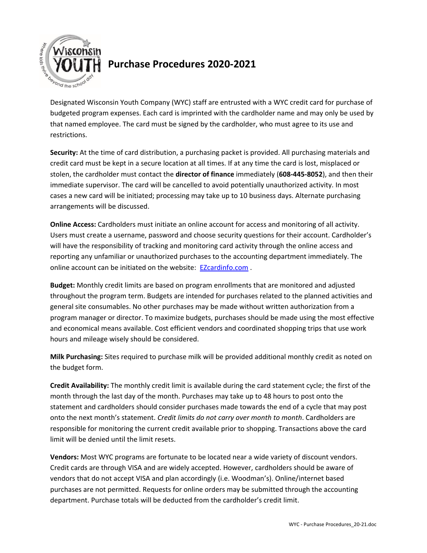

## **Purchase Procedures 2020-2021**

Designated Wisconsin Youth Company (WYC) staff are entrusted with a WYC credit card for purchase of budgeted program expenses. Each card is imprinted with the cardholder name and may only be used by that named employee. The card must be signed by the cardholder, who must agree to its use and restrictions.

**Security:** At the time of card distribution, a purchasing packet is provided. All purchasing materials and credit card must be kept in a secure location at all times. If at any time the card is lost, misplaced or stolen, the cardholder must contact the **director of finance** immediately (**608-445-8052**), and then their immediate supervisor. The card will be cancelled to avoid potentially unauthorized activity. In most cases a new card will be initiated; processing may take up to 10 business days. Alternate purchasing arrangements will be discussed.

**Online Access:** Cardholders must initiate an online account for access and monitoring of all activity. Users must create a username, password and choose security questions for their account. Cardholder's will have the responsibility of tracking and monitoring card activity through the online access and reporting any unfamiliar or unauthorized purchases to the accounting department immediately. The online account can be initiated on the website: [EZcardinfo.com](http://www.ezcardinfo.com/) .

**Budget:** Monthly credit limits are based on program enrollments that are monitored and adjusted throughout the program term. Budgets are intended for purchases related to the planned activities and general site consumables. No other purchases may be made without written authorization from a program manager or director. To maximize budgets, purchases should be made using the most effective and economical means available. Cost efficient vendors and coordinated shopping trips that use work hours and mileage wisely should be considered.

**Milk Purchasing:** Sites required to purchase milk will be provided additional monthly credit as noted on the budget form.

**Credit Availability:** The monthly credit limit is available during the card statement cycle; the first of the month through the last day of the month. Purchases may take up to 48 hours to post onto the statement and cardholders should consider purchases made towards the end of a cycle that may post onto the next month's statement. *Credit limits do not carry over month to month*. Cardholders are responsible for monitoring the current credit available prior to shopping. Transactions above the card limit will be denied until the limit resets.

**Vendors:** Most WYC programs are fortunate to be located near a wide variety of discount vendors. Credit cards are through VISA and are widely accepted. However, cardholders should be aware of vendors that do not accept VISA and plan accordingly (i.e. Woodman's). Online/internet based purchases are not permitted. Requests for online orders may be submitted through the accounting department. Purchase totals will be deducted from the cardholder's credit limit.